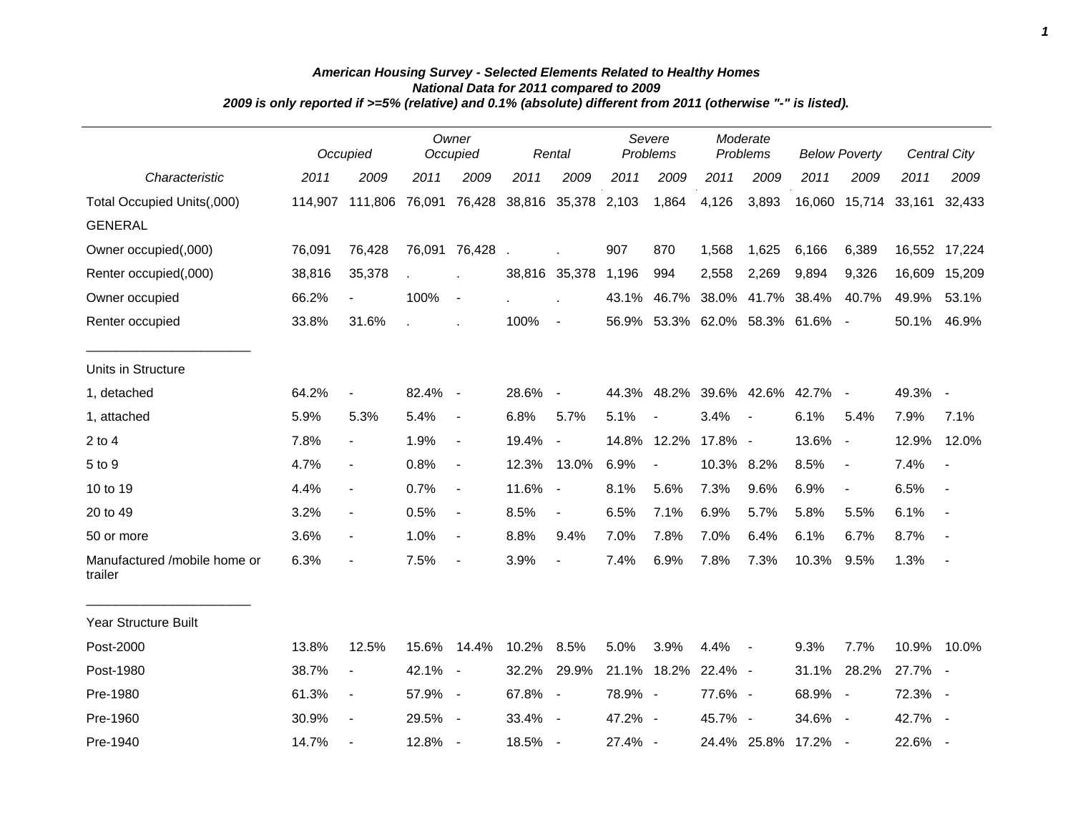|                                         |         | Occupied              |         | Owner<br>Occupied        |       | Rental                   |         | Severe<br>Problems            | Moderate<br>Problems |                          | <b>Below Poverty</b> |                          | <b>Central City</b> |                          |
|-----------------------------------------|---------|-----------------------|---------|--------------------------|-------|--------------------------|---------|-------------------------------|----------------------|--------------------------|----------------------|--------------------------|---------------------|--------------------------|
| Characteristic                          | 2011    | 2009                  | 2011    | 2009                     | 2011  | 2009                     | 2011    | 2009                          | 2011                 | 2009                     | 2011                 | 2009                     | 2011                | 2009                     |
| Total Occupied Units(,000)              | 114.907 | 111,806 76,091 76,428 |         |                          |       | 38,816 35,378 2,103      |         | 1,864                         | 4,126                | 3,893                    |                      | 16,060 15,714 33,161     |                     | 32,433                   |
| <b>GENERAL</b>                          |         |                       |         |                          |       |                          |         |                               |                      |                          |                      |                          |                     |                          |
| Owner occupied(,000)                    | 76,091  | 76,428                |         | 76,091 76,428            |       |                          | 907     | 870                           | 1,568                | 1,625                    | 6,166                | 6,389                    |                     | 16,552 17,224            |
| Renter occupied(,000)                   | 38,816  | 35,378                |         |                          |       | 38,816 35,378            | 1,196   | 994                           | 2,558                | 2,269                    | 9,894                | 9,326                    | 16,609              | 15,209                   |
| Owner occupied                          | 66.2%   | $\blacksquare$        | 100%    | $\blacksquare$           |       |                          | 43.1%   | 46.7%                         | 38.0%                |                          | 41.7% 38.4%          | 40.7%                    | 49.9%               | 53.1%                    |
| Renter occupied                         | 33.8%   | 31.6%                 |         |                          | 100%  | $\blacksquare$           |         | 56.9% 53.3% 62.0% 58.3% 61.6% |                      |                          |                      | $\sim$                   | 50.1%               | 46.9%                    |
| Units in Structure                      |         |                       |         |                          |       |                          |         |                               |                      |                          |                      |                          |                     |                          |
| 1, detached                             | 64.2%   | $\overline{a}$        | 82.4%   | $\sim$                   | 28.6% | $\overline{\phantom{a}}$ | 44.3%   | 48.2%                         |                      | 39.6% 42.6%              | 42.7%                | $\overline{\phantom{a}}$ | 49.3%               | $\overline{\phantom{a}}$ |
| 1, attached                             | 5.9%    | 5.3%                  | 5.4%    | $\blacksquare$           | 6.8%  | 5.7%                     | 5.1%    | $\overline{\phantom{a}}$      | 3.4%                 | $\overline{\phantom{a}}$ | 6.1%                 | 5.4%                     | 7.9%                | 7.1%                     |
| $2$ to 4                                | 7.8%    | $\blacksquare$        | 1.9%    | $\blacksquare$           | 19.4% | $\blacksquare$           | 14.8%   | 12.2%                         | 17.8% -              |                          | 13.6%                | $\sim$                   | 12.9%               | 12.0%                    |
| 5 to 9                                  | 4.7%    | $\blacksquare$        | 0.8%    | $\overline{\phantom{a}}$ | 12.3% | 13.0%                    | 6.9%    | $\blacksquare$                | 10.3% 8.2%           |                          | 8.5%                 | $\overline{\phantom{a}}$ | 7.4%                | $\overline{\phantom{a}}$ |
| 10 to 19                                | 4.4%    | $\blacksquare$        | 0.7%    | $\blacksquare$           | 11.6% | $\blacksquare$           | 8.1%    | 5.6%                          | 7.3%                 | 9.6%                     | 6.9%                 | $\blacksquare$           | 6.5%                | $\overline{\phantom{a}}$ |
| 20 to 49                                | 3.2%    | $\blacksquare$        | 0.5%    | $\overline{\phantom{a}}$ | 8.5%  | $\overline{\phantom{a}}$ | 6.5%    | 7.1%                          | 6.9%                 | 5.7%                     | 5.8%                 | 5.5%                     | 6.1%                | $\overline{a}$           |
| 50 or more                              | 3.6%    | $\blacksquare$        | 1.0%    | $\blacksquare$           | 8.8%  | 9.4%                     | 7.0%    | 7.8%                          | 7.0%                 | 6.4%                     | 6.1%                 | 6.7%                     | 8.7%                |                          |
| Manufactured /mobile home or<br>trailer | 6.3%    | $\blacksquare$        | 7.5%    | $\blacksquare$           | 3.9%  | $\overline{\phantom{a}}$ | 7.4%    | 6.9%                          | 7.8%                 | 7.3%                     | 10.3%                | 9.5%                     | 1.3%                | $\overline{\phantom{a}}$ |
| <b>Year Structure Built</b>             |         |                       |         |                          |       |                          |         |                               |                      |                          |                      |                          |                     |                          |
| Post-2000                               | 13.8%   | 12.5%                 | 15.6%   | 14.4%                    | 10.2% | 8.5%                     | 5.0%    | 3.9%                          | 4.4%                 | $\sim$                   | 9.3%                 | 7.7%                     | 10.9%               | 10.0%                    |
| Post-1980                               | 38.7%   | $\blacksquare$        | 42.1% - |                          | 32.2% | 29.9%                    |         | 21.1% 18.2%                   | 22.4% -              |                          | 31.1%                | 28.2%                    | 27.7% -             |                          |
| Pre-1980                                | 61.3%   | $\blacksquare$        | 57.9% - |                          | 67.8% | $\blacksquare$           | 78.9% - |                               | 77.6% -              |                          | 68.9%                | $\sim$                   | 72.3%               | $\blacksquare$           |
| Pre-1960                                | 30.9%   | $\frac{1}{2}$         | 29.5%   | $\blacksquare$           | 33.4% | $\overline{\phantom{a}}$ | 47.2% - |                               | 45.7% -              |                          | 34.6%                | $\sim$                   | 42.7%               | $\blacksquare$           |
| Pre-1940                                | 14.7%   |                       | 12.8%   | $\sim$                   | 18.5% | $\overline{\phantom{a}}$ | 27.4% - |                               |                      | 24.4% 25.8%              | 17.2%                |                          | 22.6%               | $\overline{\phantom{a}}$ |

## *American Housing Survey - Selected Elements Related to Healthy Homes National Data for 2011 compared to 2009 2009 is only reported if >=5% (relative) and 0.1% (absolute) different from 2011 (otherwise "-" is listed).*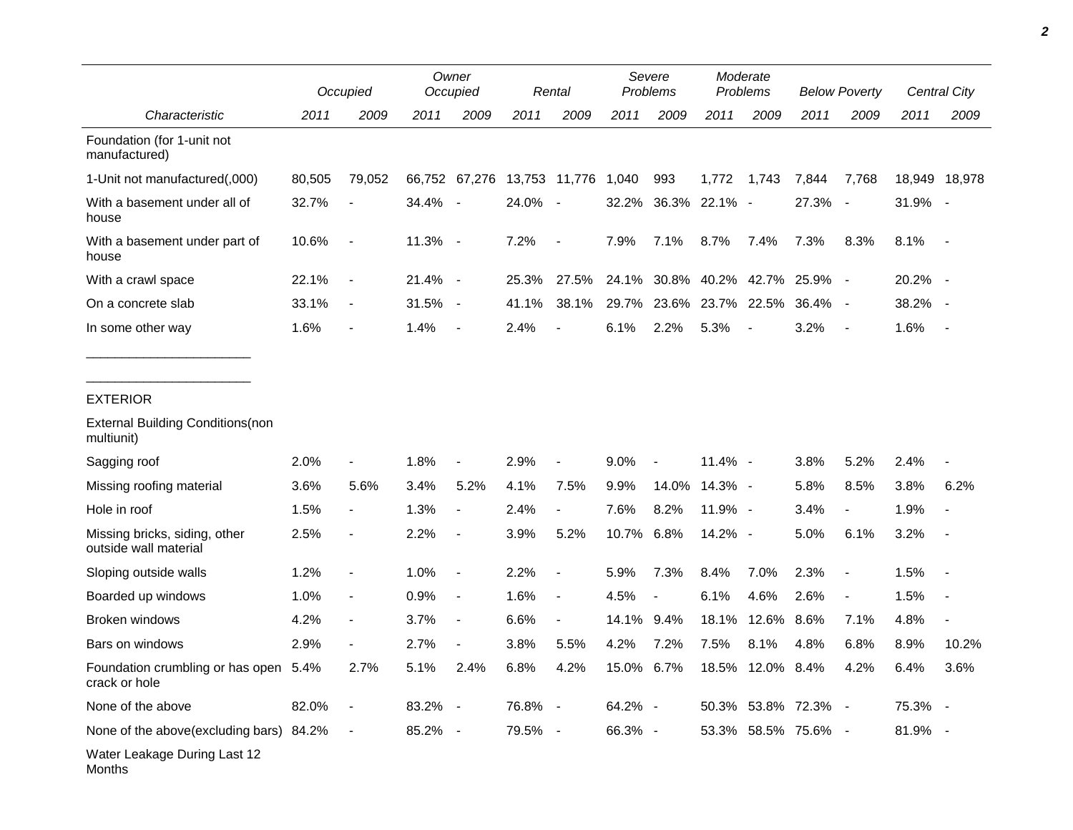|                                                        |        | Occupied                     |           | Owner<br>Occupied        |         | Rental                   |            | Severe<br>Problems       |                  | Moderate<br>Problems |                     | <b>Below Poverty</b> |         | Central City  |  |
|--------------------------------------------------------|--------|------------------------------|-----------|--------------------------|---------|--------------------------|------------|--------------------------|------------------|----------------------|---------------------|----------------------|---------|---------------|--|
| Characteristic                                         | 2011   | 2009                         | 2011      | 2009                     | 2011    | 2009                     | 2011       | 2009                     | 2011             | 2009                 | 2011                | 2009                 | 2011    | 2009          |  |
| Foundation (for 1-unit not<br>manufactured)            |        |                              |           |                          |         |                          |            |                          |                  |                      |                     |                      |         |               |  |
| 1-Unit not manufactured(,000)                          | 80,505 | 79,052                       |           | 66,752 67,276            |         | 13,753 11,776            | 1,040      | 993                      | 1,772            | 1,743                | 7,844               | 7,768                |         | 18,949 18,978 |  |
| With a basement under all of<br>house                  | 32.7%  |                              | 34.4% -   |                          | 24.0%   | $\sim$ $-$               | 32.2%      | 36.3%                    | 22.1% -          |                      | 27.3%               | $\sim$               | 31.9% - |               |  |
| With a basement under part of<br>house                 | 10.6%  |                              | 11.3% -   |                          | 7.2%    | $\overline{\phantom{a}}$ | 7.9%       | 7.1%                     | 8.7%             | 7.4%                 | 7.3%                | 8.3%                 | 8.1%    | $\sim$        |  |
| With a crawl space                                     | 22.1%  |                              | 21.4% -   |                          | 25.3%   | 27.5%                    | 24.1%      | 30.8%                    | 40.2%            | 42.7%                | 25.9%               |                      | 20.2% - |               |  |
| On a concrete slab                                     | 33.1%  | $\qquad \qquad \blacksquare$ | $31.5% -$ |                          | 41.1%   | 38.1%                    | 29.7%      | 23.6%                    | 23.7%            | 22.5%                | 36.4%               |                      | 38.2%   | $\sim$        |  |
| In some other way                                      | 1.6%   |                              | 1.4%      | $\overline{\phantom{a}}$ | 2.4%    |                          | 6.1%       | 2.2%                     | 5.3%             |                      | 3.2%                |                      | 1.6%    |               |  |
| <b>EXTERIOR</b>                                        |        |                              |           |                          |         |                          |            |                          |                  |                      |                     |                      |         |               |  |
| <b>External Building Conditions (non</b><br>multiunit) |        |                              |           |                          |         |                          |            |                          |                  |                      |                     |                      |         |               |  |
| Sagging roof                                           | 2.0%   |                              | 1.8%      |                          | 2.9%    |                          | 9.0%       |                          | 11.4% -          |                      | 3.8%                | 5.2%                 | 2.4%    |               |  |
| Missing roofing material                               | 3.6%   | 5.6%                         | 3.4%      | 5.2%                     | 4.1%    | 7.5%                     | 9.9%       | 14.0%                    | 14.3% -          |                      | 5.8%                | 8.5%                 | 3.8%    | 6.2%          |  |
| Hole in roof                                           | 1.5%   |                              | 1.3%      |                          | 2.4%    | $\overline{\phantom{a}}$ | 7.6%       | 8.2%                     | 11.9% -          |                      | 3.4%                |                      | 1.9%    |               |  |
| Missing bricks, siding, other<br>outside wall material | 2.5%   | $\overline{\phantom{a}}$     | 2.2%      | $\blacksquare$           | 3.9%    | 5.2%                     | 10.7%      | 6.8%                     | 14.2% -          |                      | 5.0%                | 6.1%                 | 3.2%    |               |  |
| Sloping outside walls                                  | 1.2%   |                              | 1.0%      |                          | 2.2%    |                          | 5.9%       | 7.3%                     | 8.4%             | 7.0%                 | 2.3%                |                      | 1.5%    |               |  |
| Boarded up windows                                     | 1.0%   | $\overline{\phantom{a}}$     | 0.9%      | $\overline{\phantom{a}}$ | 1.6%    | $\overline{\phantom{a}}$ | 4.5%       | $\overline{\phantom{a}}$ | 6.1%             | 4.6%                 | 2.6%                |                      | 1.5%    |               |  |
| Broken windows                                         | 4.2%   |                              | 3.7%      | $\overline{\phantom{a}}$ | 6.6%    |                          | 14.1%      | 9.4%                     | 18.1%            | 12.6%                | 8.6%                | 7.1%                 | 4.8%    |               |  |
| Bars on windows                                        | 2.9%   |                              | 2.7%      |                          | 3.8%    | 5.5%                     | 4.2%       | 7.2%                     | 7.5%             | 8.1%                 | 4.8%                | 6.8%                 | 8.9%    | 10.2%         |  |
| Foundation crumbling or has open 5.4%<br>crack or hole |        | 2.7%                         | 5.1%      | 2.4%                     | $6.8\%$ | 4.2%                     | 15.0% 6.7% |                          | 18.5% 12.0% 8.4% |                      |                     | 4.2%                 | 6.4%    | 3.6%          |  |
| None of the above                                      | 82.0%  | $\blacksquare$               | 83.2% -   |                          | 76.8% - |                          | 64.2% -    |                          |                  |                      | 50.3% 53.8% 72.3% - |                      | 75.3% - |               |  |
| None of the above(excluding bars) 84.2%                |        | $\sim$ $-$                   | 85.2% -   |                          | 79.5% - |                          | 66.3% -    |                          |                  |                      | 53.3% 58.5% 75.6% - |                      | 81.9% - |               |  |
| Water Leakage During Last 12<br>Months                 |        |                              |           |                          |         |                          |            |                          |                  |                      |                     |                      |         |               |  |

*2*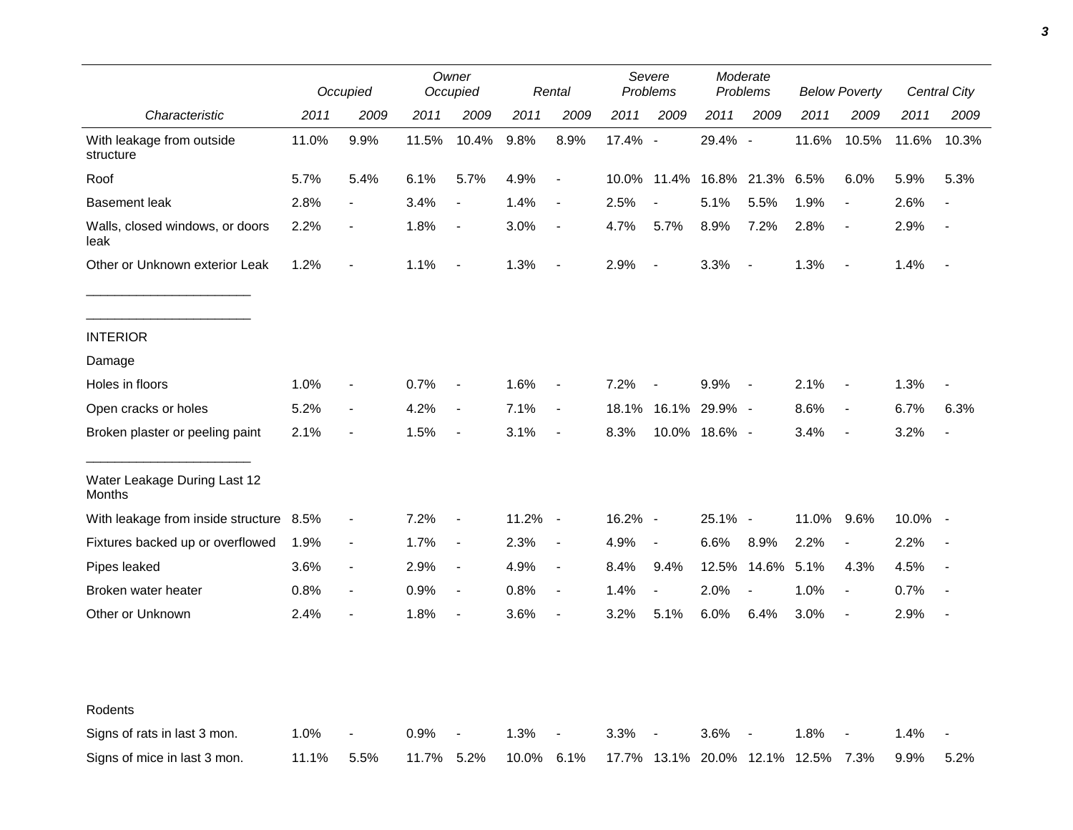|                                         |       | Occupied                 |       | Owner<br>Occupied        |       | Rental                   |         | Severe<br>Problems |                               | Moderate<br>Problems     |       | <b>Below Poverty</b>     |         | <b>Central City</b> |  |
|-----------------------------------------|-------|--------------------------|-------|--------------------------|-------|--------------------------|---------|--------------------|-------------------------------|--------------------------|-------|--------------------------|---------|---------------------|--|
| Characteristic                          | 2011  | 2009                     | 2011  | 2009                     | 2011  | 2009                     | 2011    | 2009               | 2011                          | 2009                     | 2011  | 2009                     | 2011    | 2009                |  |
| With leakage from outside<br>structure  | 11.0% | 9.9%                     | 11.5% | 10.4%                    | 9.8%  | 8.9%                     | 17.4% - |                    | 29.4% -                       |                          | 11.6% | 10.5%                    | 11.6%   | 10.3%               |  |
| Roof                                    | 5.7%  | 5.4%                     | 6.1%  | 5.7%                     | 4.9%  | $\overline{\phantom{a}}$ | 10.0%   | 11.4%              | 16.8%                         | 21.3%                    | 6.5%  | 6.0%                     | 5.9%    | 5.3%                |  |
| <b>Basement leak</b>                    | 2.8%  |                          | 3.4%  |                          | 1.4%  | $\overline{\phantom{a}}$ | 2.5%    | $\overline{a}$     | 5.1%                          | 5.5%                     | 1.9%  | $\overline{\phantom{a}}$ | 2.6%    |                     |  |
| Walls, closed windows, or doors<br>leak | 2.2%  | $\overline{\phantom{a}}$ | 1.8%  | $\overline{\phantom{a}}$ | 3.0%  | $\overline{\phantom{a}}$ | 4.7%    | 5.7%               | 8.9%                          | 7.2%                     | 2.8%  | $\overline{\phantom{a}}$ | 2.9%    |                     |  |
| Other or Unknown exterior Leak          | 1.2%  | $\blacksquare$           | 1.1%  | $\overline{\phantom{a}}$ | 1.3%  | $\blacksquare$           | 2.9%    | $\blacksquare$     | 3.3%                          | $\overline{\phantom{a}}$ | 1.3%  | $\blacksquare$           | 1.4%    | $\blacksquare$      |  |
| <b>INTERIOR</b>                         |       |                          |       |                          |       |                          |         |                    |                               |                          |       |                          |         |                     |  |
| Damage                                  |       |                          |       |                          |       |                          |         |                    |                               |                          |       |                          |         |                     |  |
| Holes in floors                         | 1.0%  | $\blacksquare$           | 0.7%  | $\overline{\phantom{a}}$ | 1.6%  | $\overline{\phantom{a}}$ | 7.2%    | $\blacksquare$     | 9.9%                          | $\sim$                   | 2.1%  | $\overline{\phantom{a}}$ | 1.3%    |                     |  |
| Open cracks or holes                    | 5.2%  | $\blacksquare$           | 4.2%  | $\overline{\phantom{a}}$ | 7.1%  | $\blacksquare$           | 18.1%   | 16.1%              | 29.9% -                       |                          | 8.6%  | $\overline{\phantom{a}}$ | 6.7%    | 6.3%                |  |
| Broken plaster or peeling paint         | 2.1%  | $\overline{\phantom{0}}$ | 1.5%  | $\overline{\phantom{a}}$ | 3.1%  | $\overline{\phantom{a}}$ | 8.3%    |                    | 10.0% 18.6% -                 |                          | 3.4%  | $\overline{\phantom{a}}$ | 3.2%    | $\overline{a}$      |  |
| Water Leakage During Last 12<br>Months  |       |                          |       |                          |       |                          |         |                    |                               |                          |       |                          |         |                     |  |
| With leakage from inside structure      | 8.5%  | $\frac{1}{2}$            | 7.2%  | $\overline{\phantom{a}}$ | 11.2% | $\sim$ $-$               | 16.2% - |                    | 25.1% -                       |                          | 11.0% | 9.6%                     | 10.0% - |                     |  |
| Fixtures backed up or overflowed        | 1.9%  | $\overline{\phantom{a}}$ | 1.7%  | $\overline{\phantom{a}}$ | 2.3%  | $\overline{\phantom{a}}$ | 4.9%    | $\blacksquare$     | 6.6%                          | 8.9%                     | 2.2%  | $\overline{\phantom{a}}$ | 2.2%    |                     |  |
| Pipes leaked                            | 3.6%  | $\overline{\phantom{a}}$ | 2.9%  | $\overline{\phantom{a}}$ | 4.9%  | $\blacksquare$           | 8.4%    | 9.4%               | 12.5%                         | 14.6%                    | 5.1%  | 4.3%                     | 4.5%    |                     |  |
| Broken water heater                     | 0.8%  | $\overline{\phantom{a}}$ | 0.9%  | $\overline{\phantom{a}}$ | 0.8%  | $\overline{\phantom{a}}$ | 1.4%    | $\blacksquare$     | 2.0%                          | $\overline{\phantom{a}}$ | 1.0%  | $\blacksquare$           | 0.7%    |                     |  |
| Other or Unknown                        | 2.4%  | $\overline{\phantom{0}}$ | 1.8%  | $\overline{\phantom{a}}$ | 3.6%  | $\overline{\phantom{a}}$ | 3.2%    | 5.1%               | 6.0%                          | 6.4%                     | 3.0%  | $\blacksquare$           | 2.9%    | $\blacksquare$      |  |
| Rodents                                 |       |                          |       |                          |       |                          |         |                    |                               |                          |       |                          |         |                     |  |
| Signs of rats in last 3 mon.            | 1.0%  |                          | 0.9%  |                          | 1.3%  |                          | 3.3%    |                    | 3.6%                          |                          | 1.8%  |                          | 1.4%    |                     |  |
| Signs of mice in last 3 mon.            | 11.1% | 5.5%                     | 11.7% | 5.2%                     | 10.0% | 6.1%                     |         |                    | 17.7% 13.1% 20.0% 12.1% 12.5% |                          |       | 7.3%                     | 9.9%    | 5.2%                |  |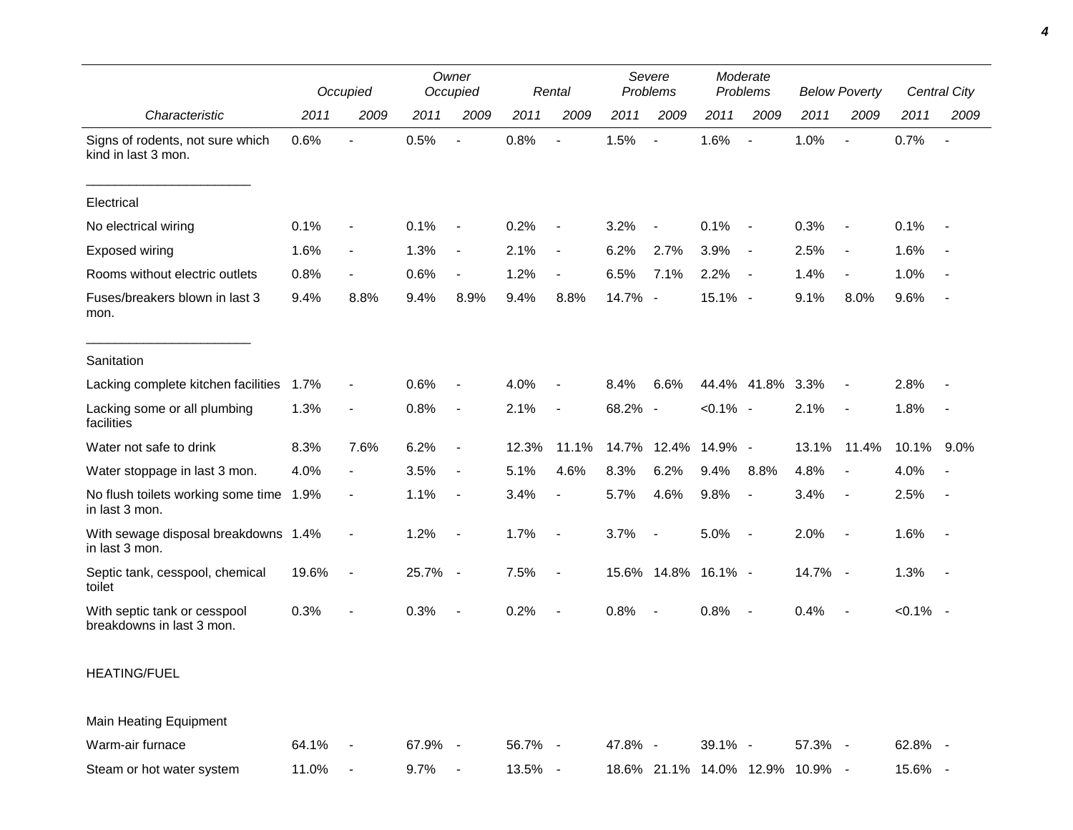|                                                           |       | Occupied                 |         | Owner<br>Occupied        |         | Rental                   |         | Severe<br>Problems  | Moderate<br>Problems |                          | <b>Below Poverty</b>            |                          | <b>Central City</b> |                |
|-----------------------------------------------------------|-------|--------------------------|---------|--------------------------|---------|--------------------------|---------|---------------------|----------------------|--------------------------|---------------------------------|--------------------------|---------------------|----------------|
| Characteristic                                            | 2011  | 2009                     | 2011    | 2009                     | 2011    | 2009                     | 2011    | 2009                | 2011                 | 2009                     | 2011                            | 2009                     | 2011                | 2009           |
| Signs of rodents, not sure which<br>kind in last 3 mon.   | 0.6%  | $\overline{a}$           | 0.5%    | $\blacksquare$           | 0.8%    | $\blacksquare$           | 1.5%    | $\sim$              | 1.6%                 | $\overline{\phantom{a}}$ | 1.0%                            | $\overline{a}$           | 0.7%                | $\blacksquare$ |
| Electrical                                                |       |                          |         |                          |         |                          |         |                     |                      |                          |                                 |                          |                     |                |
| No electrical wiring                                      | 0.1%  | $\overline{\phantom{a}}$ | 0.1%    | $\overline{\phantom{a}}$ | 0.2%    | $\overline{\phantom{a}}$ | 3.2%    | $\blacksquare$      | 0.1%                 | $\blacksquare$           | 0.3%                            | $\overline{\phantom{a}}$ | 0.1%                | $\blacksquare$ |
| Exposed wiring                                            | 1.6%  | $\overline{\phantom{a}}$ | 1.3%    | $\blacksquare$           | 2.1%    | $\overline{\phantom{a}}$ | 6.2%    | 2.7%                | 3.9%                 | $\overline{\phantom{a}}$ | 2.5%                            | $\overline{\phantom{a}}$ | 1.6%                |                |
| Rooms without electric outlets                            | 0.8%  | $\blacksquare$           | 0.6%    | $\blacksquare$           | 1.2%    | $\overline{\phantom{a}}$ | 6.5%    | 7.1%                | 2.2%                 | $\overline{\phantom{a}}$ | 1.4%                            | $\overline{\phantom{a}}$ | 1.0%                |                |
| Fuses/breakers blown in last 3<br>mon.                    | 9.4%  | 8.8%                     | 9.4%    | 8.9%                     | 9.4%    | 8.8%                     | 14.7% - |                     | 15.1% -              |                          | 9.1%                            | 8.0%                     | 9.6%                |                |
| Sanitation                                                |       |                          |         |                          |         |                          |         |                     |                      |                          |                                 |                          |                     |                |
| Lacking complete kitchen facilities                       | 1.7%  | $\overline{a}$           | 0.6%    | $\overline{\phantom{a}}$ | 4.0%    | $\overline{\phantom{a}}$ | 8.4%    | 6.6%                |                      | 44.4% 41.8%              | 3.3%                            | $\overline{\phantom{a}}$ | 2.8%                |                |
| Lacking some or all plumbing<br>facilities                | 1.3%  | $\blacksquare$           | 0.8%    | $\overline{\phantom{a}}$ | 2.1%    | $\overline{\phantom{a}}$ | 68.2% - |                     | $< 0.1\%$ -          |                          | 2.1%                            | $\overline{\phantom{a}}$ | 1.8%                | $\blacksquare$ |
| Water not safe to drink                                   | 8.3%  | 7.6%                     | 6.2%    | $\blacksquare$           | 12.3%   | 11.1%                    | 14.7%   | 12.4%               | 14.9% -              |                          | 13.1%                           | 11.4%                    | 10.1%               | $9.0\%$        |
| Water stoppage in last 3 mon.                             | 4.0%  | $\blacksquare$           | 3.5%    | $\overline{\phantom{a}}$ | 5.1%    | 4.6%                     | 8.3%    | 6.2%                | 9.4%                 | 8.8%                     | 4.8%                            | $\overline{\phantom{a}}$ | 4.0%                |                |
| No flush toilets working some time 1.9%<br>in last 3 mon. |       | $\overline{\phantom{a}}$ | 1.1%    | $\overline{\phantom{a}}$ | 3.4%    | $\overline{\phantom{a}}$ | 5.7%    | 4.6%                | 9.8%                 | $\overline{\phantom{a}}$ | 3.4%                            | $\sim$                   | 2.5%                | $\blacksquare$ |
| With sewage disposal breakdowns 1.4%<br>in last 3 mon.    |       | $\blacksquare$           | 1.2%    | $\overline{\phantom{a}}$ | 1.7%    | $\sim$                   | 3.7%    | $\blacksquare$      | 5.0%                 | $\overline{\phantom{a}}$ | 2.0%                            | $\overline{\phantom{a}}$ | 1.6%                | $\blacksquare$ |
| Septic tank, cesspool, chemical<br>toilet                 | 19.6% | $\overline{\phantom{a}}$ | 25.7% - |                          | 7.5%    | $\blacksquare$           |         | 15.6% 14.8% 16.1% - |                      |                          | 14.7% -                         |                          | 1.3%                | $\blacksquare$ |
| With septic tank or cesspool<br>breakdowns in last 3 mon. | 0.3%  |                          | 0.3%    | $\overline{\phantom{a}}$ | 0.2%    | $\overline{\phantom{a}}$ | 0.8%    | $\blacksquare$      | 0.8%                 | $\overline{\phantom{a}}$ | 0.4%                            | $\blacksquare$           | $< 0.1\%$ -         |                |
| <b>HEATING/FUEL</b>                                       |       |                          |         |                          |         |                          |         |                     |                      |                          |                                 |                          |                     |                |
| Main Heating Equipment                                    |       |                          |         |                          |         |                          |         |                     |                      |                          |                                 |                          |                     |                |
| Warm-air furnace                                          | 64.1% | $\sim$ $-$               | 67.9% - |                          | 56.7% - |                          | 47.8% - |                     | 39.1% -              |                          | 57.3% -                         |                          | 62.8% -             |                |
| Steam or hot water system                                 | 11.0% |                          | 9.7%    | $\blacksquare$           | 13.5% - |                          |         |                     |                      |                          | 18.6% 21.1% 14.0% 12.9% 10.9% - |                          | 15.6% -             |                |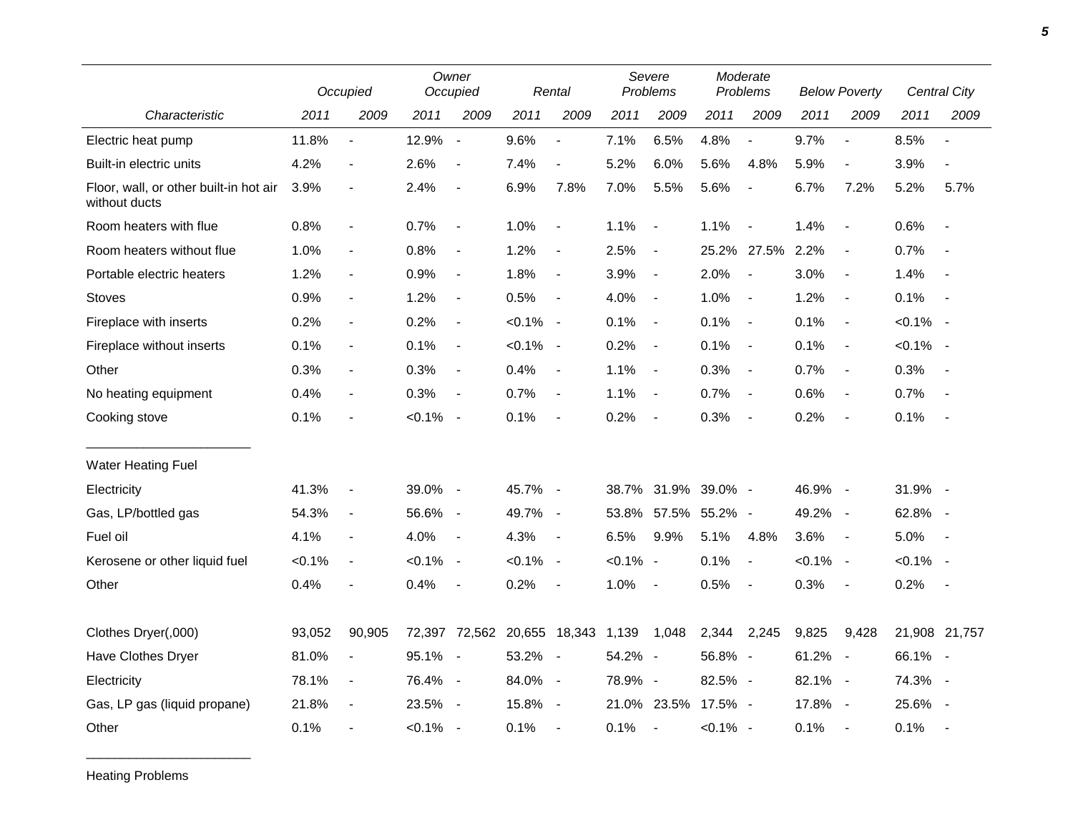|                                                         | Occupied  |                              |             | Owner<br>Occupied        |           | Rental                   |             | Severe<br>Problems       |                     | Moderate<br>Problems     |             | <b>Below Poverty</b>     |             | Central City             |
|---------------------------------------------------------|-----------|------------------------------|-------------|--------------------------|-----------|--------------------------|-------------|--------------------------|---------------------|--------------------------|-------------|--------------------------|-------------|--------------------------|
| Characteristic                                          | 2011      | 2009                         | 2011        | 2009                     | 2011      | 2009                     | 2011        | 2009                     | 2011                | 2009                     | 2011        | 2009                     | 2011        | 2009                     |
| Electric heat pump                                      | 11.8%     | $\blacksquare$               | 12.9%       | $\sim$                   | 9.6%      |                          | 7.1%        | 6.5%                     | 4.8%                | $\blacksquare$           | 9.7%        | $\overline{\phantom{a}}$ | 8.5%        |                          |
| Built-in electric units                                 | 4.2%      | $\blacksquare$               | 2.6%        | $\blacksquare$           | 7.4%      | $\blacksquare$           | 5.2%        | 6.0%                     | 5.6%                | 4.8%                     | 5.9%        | $\blacksquare$           | 3.9%        | $\overline{a}$           |
| Floor, wall, or other built-in hot air<br>without ducts | 3.9%      |                              | 2.4%        | $\overline{\phantom{a}}$ | 6.9%      | 7.8%                     | 7.0%        | 5.5%                     | 5.6%                |                          | 6.7%        | 7.2%                     | 5.2%        | 5.7%                     |
| Room heaters with flue                                  | 0.8%      | $\blacksquare$               | 0.7%        | $\overline{\phantom{a}}$ | 1.0%      | $\blacksquare$           | 1.1%        | $\overline{\phantom{a}}$ | 1.1%                | $\overline{\phantom{a}}$ | 1.4%        | $\blacksquare$           | 0.6%        | $\blacksquare$           |
| Room heaters without flue                               | 1.0%      | $\blacksquare$               | 0.8%        | $\blacksquare$           | 1.2%      | $\blacksquare$           | 2.5%        | $\blacksquare$           |                     | 25.2% 27.5%              | 2.2%        | $\blacksquare$           | 0.7%        |                          |
| Portable electric heaters                               | 1.2%      | $\overline{\phantom{a}}$     | 0.9%        | $\overline{\phantom{a}}$ | 1.8%      | $\overline{\phantom{a}}$ | 3.9%        | $\overline{\phantom{a}}$ | 2.0%                | $\overline{\phantom{a}}$ | 3.0%        | $\overline{\phantom{a}}$ | 1.4%        |                          |
| <b>Stoves</b>                                           | 0.9%      | $\blacksquare$               | 1.2%        | $\overline{\phantom{a}}$ | 0.5%      | $\overline{\phantom{a}}$ | 4.0%        | $\overline{\phantom{a}}$ | 1.0%                | $\sim$                   | 1.2%        | $\overline{\phantom{a}}$ | 0.1%        | $\blacksquare$           |
| Fireplace with inserts                                  | 0.2%      | $\overline{\phantom{a}}$     | 0.2%        | $\overline{\phantom{a}}$ | $< 0.1\%$ | $\sim$                   | 0.1%        | $\blacksquare$           | 0.1%                | $\sim$                   | 0.1%        | $\blacksquare$           | $< 0.1\%$ - |                          |
| Fireplace without inserts                               | 0.1%      | $\overline{\phantom{a}}$     | 0.1%        | $\overline{\phantom{a}}$ | $< 0.1\%$ | $\sim$                   | 0.2%        | $\overline{\phantom{a}}$ | 0.1%                | $\sim$                   | 0.1%        | $\overline{\phantom{a}}$ | $< 0.1\%$ - |                          |
| Other                                                   | 0.3%      | $\blacksquare$               | 0.3%        | $\blacksquare$           | 0.4%      | $\overline{\phantom{a}}$ | 1.1%        | $\overline{\phantom{a}}$ | 0.3%                | $\overline{\phantom{a}}$ | 0.7%        | $\overline{\phantom{a}}$ | 0.3%        | $\overline{\phantom{a}}$ |
| No heating equipment                                    | 0.4%      | $\qquad \qquad \blacksquare$ | 0.3%        | $\blacksquare$           | 0.7%      | $\overline{\phantom{a}}$ | 1.1%        | $\blacksquare$           | 0.7%                | $\sim$ $-$               | 0.6%        | $\blacksquare$           | 0.7%        | $\overline{\phantom{a}}$ |
| Cooking stove                                           | 0.1%      |                              | $< 0.1\%$ - |                          | 0.1%      | $\blacksquare$           | 0.2%        | $\overline{\phantom{a}}$ | 0.3%                | $\sim$                   | 0.2%        | $\overline{\phantom{a}}$ | 0.1%        | $\blacksquare$           |
| <b>Water Heating Fuel</b>                               |           |                              |             |                          |           |                          |             |                          |                     |                          |             |                          |             |                          |
| Electricity                                             | 41.3%     | $\frac{1}{2}$                | 39.0% -     |                          | 45.7%     | $\sim$                   |             |                          | 38.7% 31.9% 39.0% - |                          | 46.9% -     |                          | 31.9%       | $\sim$                   |
| Gas, LP/bottled gas                                     | 54.3%     | $\blacksquare$               | 56.6% -     |                          | 49.7%     | $\overline{\phantom{a}}$ | 53.8%       | 57.5%                    | 55.2% -             |                          | 49.2%       | $\sim$                   | 62.8%       | $\sim$                   |
| Fuel oil                                                | 4.1%      | $\frac{1}{2}$                | 4.0%        | $\overline{\phantom{a}}$ | 4.3%      | $\blacksquare$           | 6.5%        | 9.9%                     | 5.1%                | 4.8%                     | 3.6%        | $\overline{\phantom{a}}$ | 5.0%        | $\overline{\phantom{a}}$ |
| Kerosene or other liquid fuel                           | $< 0.1\%$ | $\blacksquare$               | $< 0.1\%$ - |                          | $< 0.1\%$ | $\overline{\phantom{a}}$ | $< 0.1\%$ - |                          | 0.1%                | $\overline{\phantom{a}}$ | $< 0.1\%$ - |                          | $< 0.1\%$ - |                          |
| Other                                                   | 0.4%      |                              | 0.4%        | $\blacksquare$           | 0.2%      |                          | 1.0%        | $\blacksquare$           | 0.5%                | $\overline{\phantom{a}}$ | 0.3%        | $\overline{\phantom{a}}$ | 0.2%        | $\overline{\phantom{a}}$ |
| Clothes Dryer(,000)                                     | 93,052    | 90,905                       |             | 72,397 72,562 20,655     |           | 18,343 1,139             |             | 1,048                    | 2,344               | 2,245                    | 9,825       | 9,428                    |             | 21,908 21,757            |
| Have Clothes Dryer                                      | 81.0%     |                              | 95.1% -     |                          | 53.2%     | $\overline{\phantom{a}}$ | 54.2% -     |                          | 56.8% -             |                          | 61.2%       | $\sim$ $-$               | 66.1% -     |                          |
| Electricity                                             | 78.1%     | $\blacksquare$               | 76.4% -     |                          | 84.0%     | $\overline{\phantom{a}}$ | 78.9% -     |                          | 82.5% -             |                          | 82.1% -     |                          | 74.3%       | $\sim$                   |
| Gas, LP gas (liquid propane)                            | 21.8%     | $\overline{\phantom{a}}$     | 23.5% -     |                          | 15.8%     | $\overline{\phantom{a}}$ | 21.0%       | 23.5%                    | 17.5% -             |                          | 17.8%       | $\sim$                   | 25.6%       | $\sim$                   |
| Other                                                   | 0.1%      | $\frac{1}{2}$                | $< 0.1\%$ - |                          | 0.1%      | $\overline{\phantom{a}}$ | 0.1%        | $\blacksquare$           | $< 0.1\%$ -         |                          | 0.1%        | $\blacksquare$           | 0.1%        | $\overline{\phantom{a}}$ |

Heating Problems

\_\_\_\_\_\_\_\_\_\_\_\_\_\_\_\_\_\_\_\_\_\_\_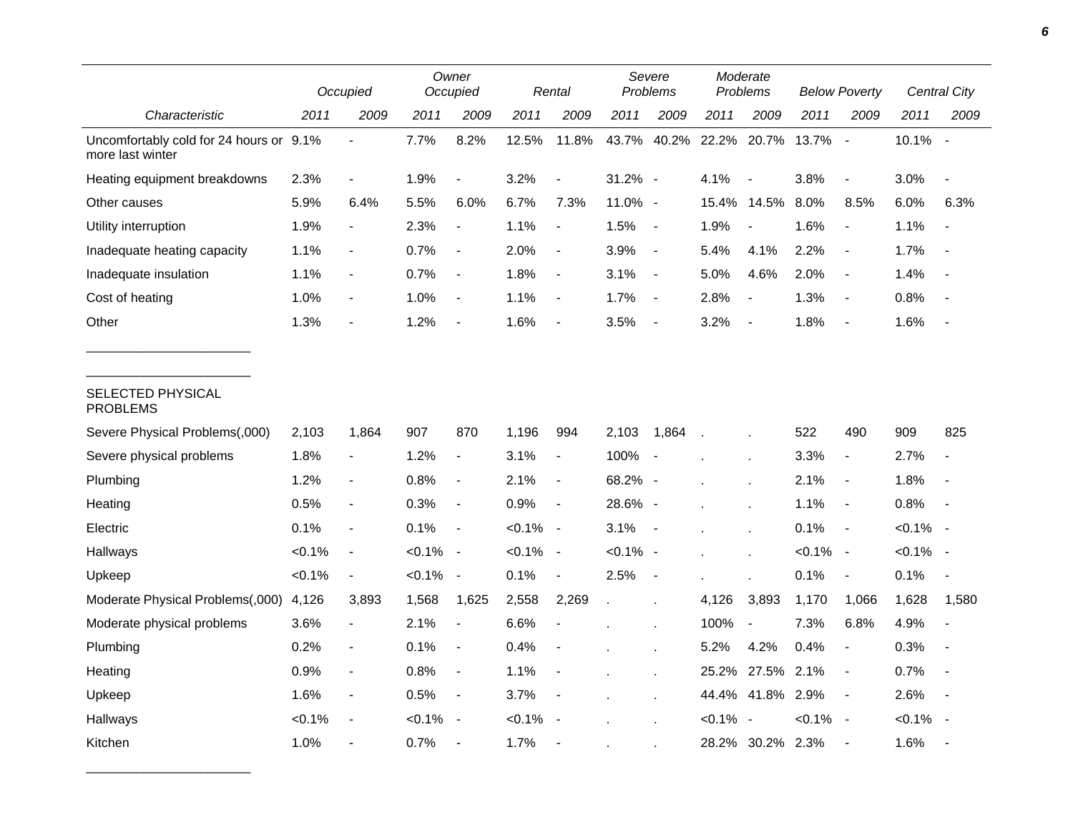|                                                             |           | Occupied                 |           | Owner<br>Occupied        |           | Rental                   |             | Severe<br>Problems       |             | Moderate<br>Problems     |             | <b>Below Poverty</b>     |             | <b>Central City</b>      |  |
|-------------------------------------------------------------|-----------|--------------------------|-----------|--------------------------|-----------|--------------------------|-------------|--------------------------|-------------|--------------------------|-------------|--------------------------|-------------|--------------------------|--|
| Characteristic                                              | 2011      | 2009                     | 2011      | 2009                     | 2011      | 2009                     | 2011        | 2009                     | 2011        | 2009                     | 2011        | 2009                     | 2011        | 2009                     |  |
| Uncomfortably cold for 24 hours or 9.1%<br>more last winter |           |                          | 7.7%      | 8.2%                     | 12.5%     | 11.8%                    | 43.7%       | 40.2%                    | 22.2%       | 20.7%                    | 13.7%       | $\sim$                   | 10.1%       | $\sim$                   |  |
| Heating equipment breakdowns                                | 2.3%      | $\overline{\phantom{a}}$ | 1.9%      | $\frac{1}{2}$            | 3.2%      | $\overline{\phantom{a}}$ | $31.2\%$ -  |                          | 4.1%        | $\overline{\phantom{a}}$ | 3.8%        | $\overline{\phantom{a}}$ | 3.0%        |                          |  |
| Other causes                                                | 5.9%      | 6.4%                     | 5.5%      | 6.0%                     | 6.7%      | 7.3%                     | 11.0% -     |                          | 15.4%       | 14.5%                    | 8.0%        | 8.5%                     | 6.0%        | 6.3%                     |  |
| Utility interruption                                        | 1.9%      | $\blacksquare$           | 2.3%      | $\overline{\phantom{a}}$ | 1.1%      | $\overline{\phantom{a}}$ | 1.5%        | $\sim$                   | 1.9%        | $\overline{\phantom{a}}$ | 1.6%        | $\overline{\phantom{a}}$ | 1.1%        |                          |  |
| Inadequate heating capacity                                 | 1.1%      | $\blacksquare$           | 0.7%      | $\blacksquare$           | 2.0%      | $\blacksquare$           | 3.9%        | $\sim$                   | 5.4%        | 4.1%                     | 2.2%        | $\blacksquare$           | 1.7%        | $\overline{\phantom{a}}$ |  |
| Inadequate insulation                                       | 1.1%      | $\overline{\phantom{a}}$ | 0.7%      | $\blacksquare$           | 1.8%      | $\blacksquare$           | 3.1%        | $\sim$                   | 5.0%        | 4.6%                     | 2.0%        | $\blacksquare$           | 1.4%        | $\blacksquare$           |  |
| Cost of heating                                             | 1.0%      | $\overline{\phantom{a}}$ | 1.0%      | $\frac{1}{2}$            | 1.1%      | $\overline{\phantom{a}}$ | 1.7%        | $\sim$                   | 2.8%        | $\overline{\phantom{a}}$ | 1.3%        | $\blacksquare$           | 0.8%        | $\overline{\phantom{a}}$ |  |
| Other                                                       | 1.3%      | $\overline{a}$           | 1.2%      |                          | 1.6%      | $\blacksquare$           | 3.5%        | $\overline{\phantom{a}}$ | 3.2%        | $\blacksquare$           | 1.8%        | $\blacksquare$           | 1.6%        |                          |  |
| SELECTED PHYSICAL<br><b>PROBLEMS</b>                        |           |                          |           |                          |           |                          |             |                          |             |                          |             |                          |             |                          |  |
| Severe Physical Problems(,000)                              | 2,103     | 1,864                    | 907       | 870                      | 1,196     | 994                      | 2,103       | 1,864                    | $\lambda$   |                          | 522         | 490                      | 909         | 825                      |  |
| Severe physical problems                                    | 1.8%      | $\blacksquare$           | 1.2%      | $\blacksquare$           | 3.1%      | $\blacksquare$           | 100%        | $\sim$                   |             |                          | 3.3%        | $\blacksquare$           | 2.7%        | $\overline{\phantom{a}}$ |  |
| Plumbing                                                    | 1.2%      | $\overline{\phantom{a}}$ | 0.8%      | $\frac{1}{2}$            | 2.1%      | $\overline{\phantom{a}}$ | 68.2% -     |                          |             |                          | 2.1%        | $\overline{\phantom{a}}$ | 1.8%        | $\blacksquare$           |  |
| Heating                                                     | 0.5%      | $\overline{\phantom{a}}$ | 0.3%      | $\blacksquare$           | 0.9%      | $\blacksquare$           | 28.6% -     |                          |             |                          | 1.1%        | $\blacksquare$           | 0.8%        | $\blacksquare$           |  |
| Electric                                                    | 0.1%      | $\overline{\phantom{a}}$ | 0.1%      | $\overline{\phantom{a}}$ | $< 0.1\%$ | $\sim$ $-$               | 3.1%        | $\sim$ $-$               |             |                          | 0.1%        | $\overline{\phantom{a}}$ | $< 0.1\%$ - |                          |  |
| Hallways                                                    | $< 0.1\%$ | $\overline{\phantom{a}}$ | $< 0.1\%$ | $\overline{\phantom{a}}$ | $< 0.1\%$ | $\sim$                   | $< 0.1\%$ - |                          |             |                          | $< 0.1\%$   | $\sim$                   | $< 0.1\%$ - |                          |  |
| Upkeep                                                      | $< 0.1\%$ | $\overline{\phantom{a}}$ | $< 0.1\%$ | $\blacksquare$           | 0.1%      | $\blacksquare$           | 2.5%        | $\sim$                   |             |                          | 0.1%        | $\blacksquare$           | 0.1%        |                          |  |
| Moderate Physical Problems(,000)                            | 4,126     | 3,893                    | 1,568     | 1,625                    | 2,558     | 2,269                    |             | $\epsilon$               | 4,126       | 3,893                    | 1,170       | 1,066                    | 1,628       | 1,580                    |  |
| Moderate physical problems                                  | 3.6%      | $\blacksquare$           | 2.1%      | $\blacksquare$           | 6.6%      | $\blacksquare$           |             |                          | 100%        | $\blacksquare$           | 7.3%        | 6.8%                     | 4.9%        |                          |  |
| Plumbing                                                    | 0.2%      | $\overline{\phantom{a}}$ | 0.1%      | $\blacksquare$           | 0.4%      | $\blacksquare$           |             |                          | 5.2%        | 4.2%                     | 0.4%        | $\overline{a}$           | 0.3%        |                          |  |
| Heating                                                     | 0.9%      | $\overline{\phantom{a}}$ | 0.8%      | $\overline{\phantom{a}}$ | 1.1%      | $\overline{\phantom{a}}$ |             |                          | 25.2%       | 27.5%                    | 2.1%        | $\blacksquare$           | 0.7%        | $\blacksquare$           |  |
| Upkeep                                                      | 1.6%      | $\overline{\phantom{a}}$ | 0.5%      | $\overline{\phantom{a}}$ | 3.7%      | $\overline{\phantom{a}}$ |             |                          |             | 44.4% 41.8% 2.9%         |             | $\overline{\phantom{a}}$ | 2.6%        | $\overline{\phantom{a}}$ |  |
| Hallways                                                    | $< 0.1\%$ | $\overline{\phantom{a}}$ | $< 0.1\%$ | $\blacksquare$           | < 0.1%    | $\sim$                   |             |                          | $< 0.1\%$ - |                          | $< 0.1\%$ - |                          | $< 0.1\%$   | $\sim$                   |  |
| Kitchen                                                     | 1.0%      | $\overline{\phantom{a}}$ | 0.7%      |                          | 1.7%      |                          |             |                          |             | 28.2% 30.2% 2.3%         |             | $\overline{\phantom{a}}$ | 1.6%        |                          |  |

\_\_\_\_\_\_\_\_\_\_\_\_\_\_\_\_\_\_\_\_\_\_\_